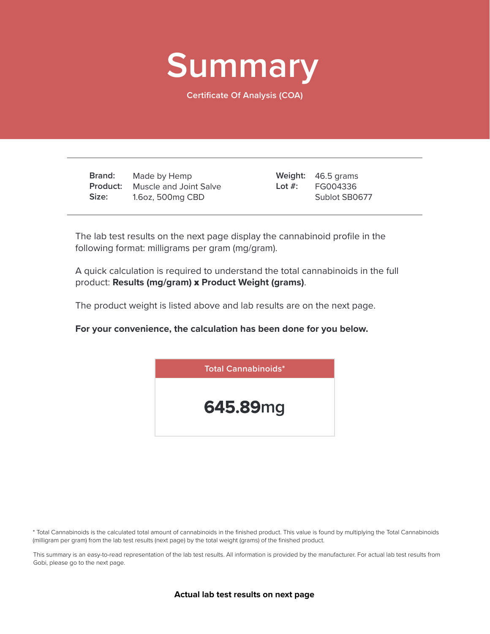

**Certificate Of Analysis (COA)**

**Brand: Product:** Muscle and Joint Salve **Size:** Made by Hemp 1.6oz, 500mg CBD

46.5 grams **Weight:** FG004336 Sublot SB0677 **Lot #:**

The lab test results on the next page display the cannabinoid profile in the following format: milligrams per gram (mg/gram).

A quick calculation is required to understand the total cannabinoids in the full product: **Results (mg/gram)** x **Product Weight (grams)**.

The product weight is listed above and lab results are on the next page.

**For your convenience, the calculation has been done for you below.**



\* Total Cannabinoids is the calculated total amount of cannabinoids in the finished product. This value is found by multiplying the Total Cannabinoids (milligram per gram) from the lab test results (next page) by the total weight (grams) of the finished product.

This summary is an easy-to-read representation of the lab test results. All information is provided by the manufacturer. For actual lab test results from Gobi, please go to the next page.